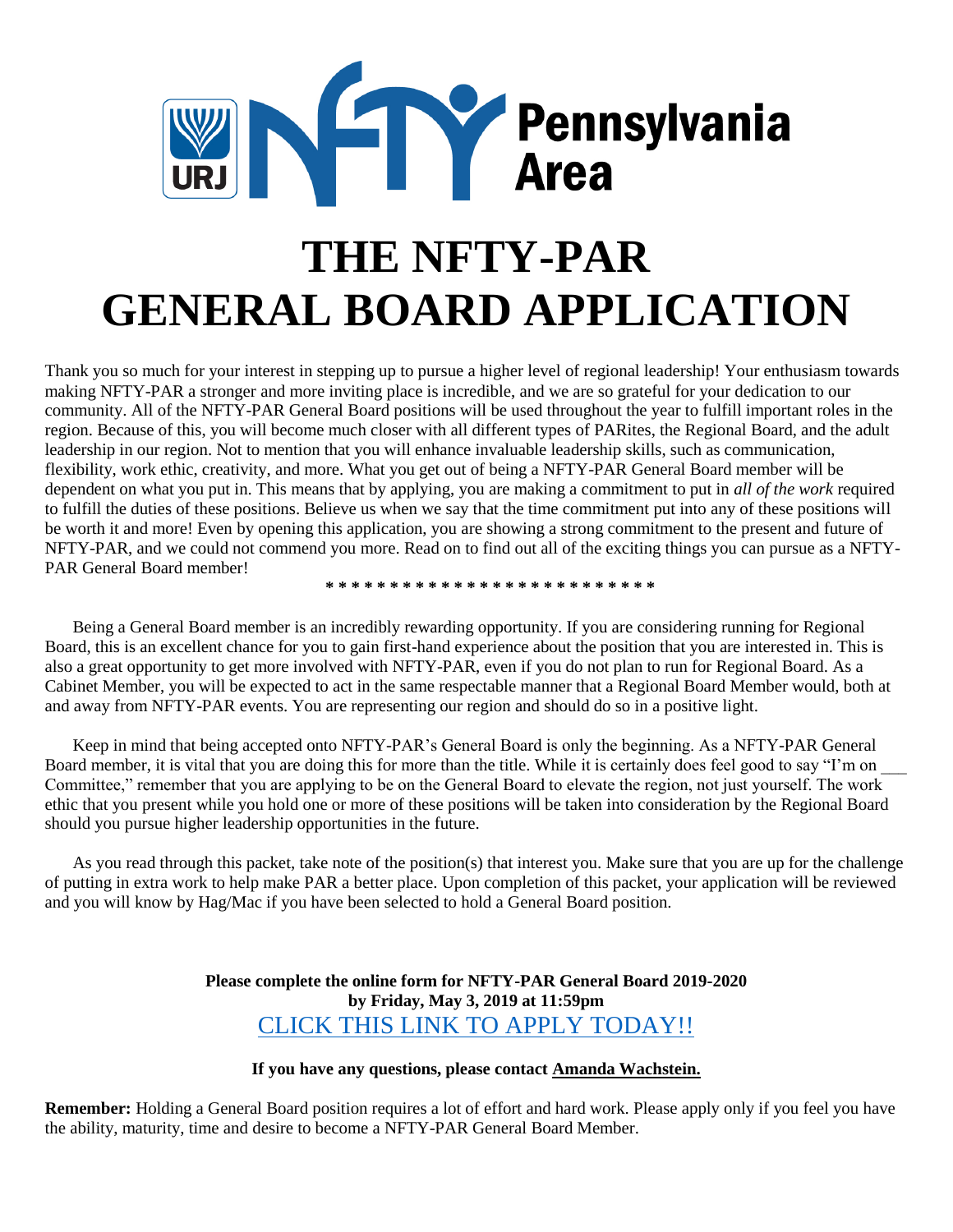

# **THE NFTY-PAR GENERAL BOARD APPLICATION**

Thank you so much for your interest in stepping up to pursue a higher level of regional leadership! Your enthusiasm towards making NFTY-PAR a stronger and more inviting place is incredible, and we are so grateful for your dedication to our community. All of the NFTY-PAR General Board positions will be used throughout the year to fulfill important roles in the region. Because of this, you will become much closer with all different types of PARites, the Regional Board, and the adult leadership in our region. Not to mention that you will enhance invaluable leadership skills, such as communication, flexibility, work ethic, creativity, and more. What you get out of being a NFTY-PAR General Board member will be dependent on what you put in. This means that by applying, you are making a commitment to put in *all of the work* required to fulfill the duties of these positions. Believe us when we say that the time commitment put into any of these positions will be worth it and more! Even by opening this application, you are showing a strong commitment to the present and future of NFTY-PAR, and we could not commend you more. Read on to find out all of the exciting things you can pursue as a NFTY-PAR General Board member! **\* \* \* \* \* \* \* \* \* \* \* \* \* \* \* \* \* \* \* \* \* \* \* \* \* \***

Being a General Board member is an incredibly rewarding opportunity. If you are considering running for Regional Board, this is an excellent chance for you to gain first-hand experience about the position that you are interested in. This is also a great opportunity to get more involved with NFTY-PAR, even if you do not plan to run for Regional Board. As a Cabinet Member, you will be expected to act in the same respectable manner that a Regional Board Member would, both at and away from NFTY-PAR events. You are representing our region and should do so in a positive light.

Keep in mind that being accepted onto NFTY-PAR's General Board is only the beginning. As a NFTY-PAR General Board member, it is vital that you are doing this for more than the title. While it is certainly does feel good to say "I'm on Committee," remember that you are applying to be on the General Board to elevate the region, not just yourself. The work ethic that you present while you hold one or more of these positions will be taken into consideration by the Regional Board should you pursue higher leadership opportunities in the future.

As you read through this packet, take note of the position(s) that interest you. Make sure that you are up for the challenge of putting in extra work to help make PAR a better place. Upon completion of this packet, your application will be reviewed and you will know by Hag/Mac if you have been selected to hold a General Board position.

> **Please complete the online form for NFTY-PAR General Board 2019-2020 by Friday, May 3, 2019 at 11:59pm** [CLICK THIS LINK TO APPLY TODAY!!](https://urjyouth.wufoo.com/forms/z51m3in03b0rld/)

#### **If you have any questions, please contact [Amanda Wachstein.](mailto:awachstein@urj.org)**

**Remember:** Holding a General Board position requires a lot of effort and hard work. Please apply only if you feel you have the ability, maturity, time and desire to become a NFTY-PAR General Board Member.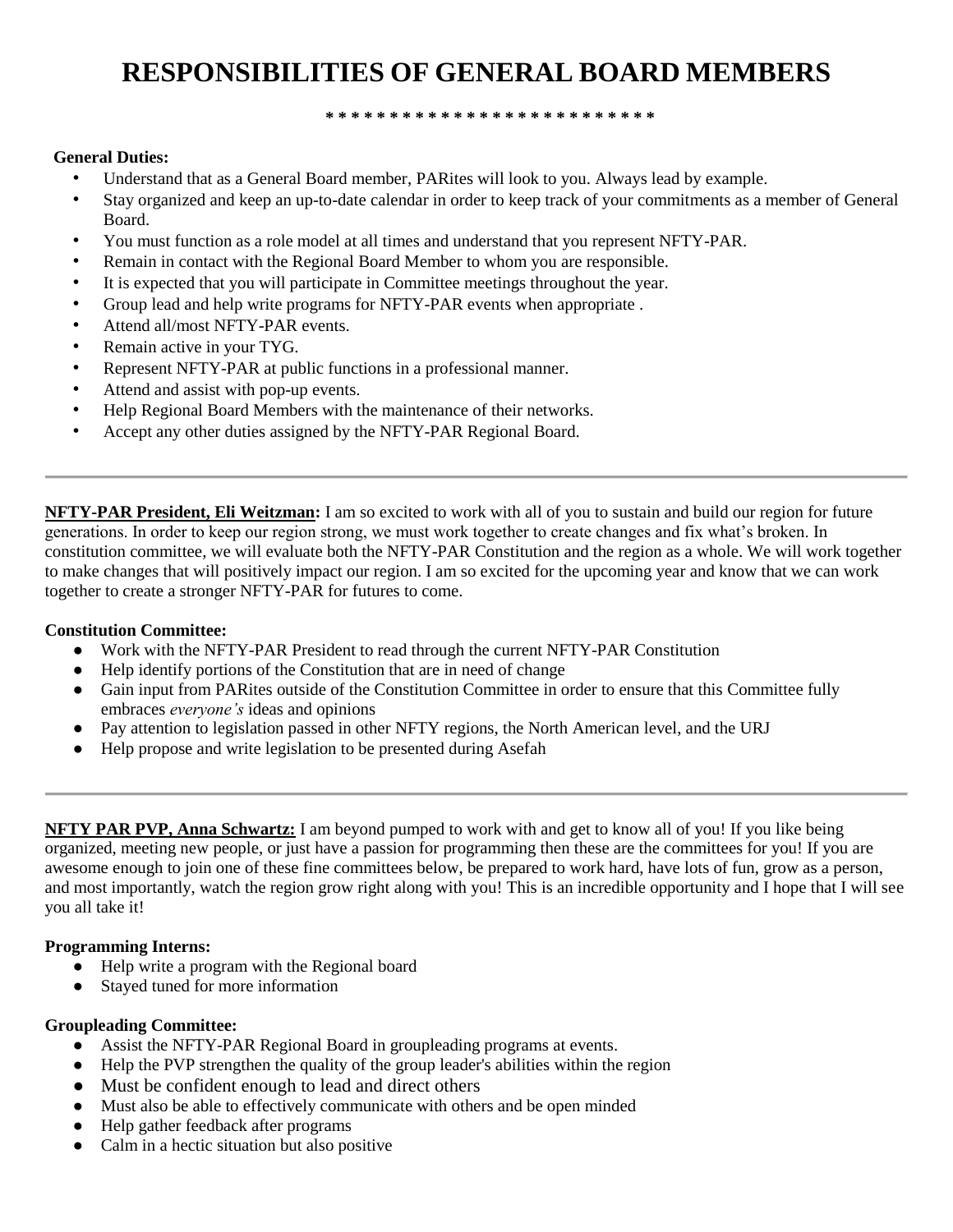# **RESPONSIBILITIES OF GENERAL BOARD MEMBERS**

**\* \* \* \* \* \* \* \* \* \* \* \* \* \* \* \* \* \* \* \* \* \* \* \* \* \*** 

#### **General Duties:**

- Understand that as a General Board member, PARites will look to you. Always lead by example.
- Stay organized and keep an up-to-date calendar in order to keep track of your commitments as a member of General Board.
- You must function as a role model at all times and understand that you represent NFTY-PAR.
- Remain in contact with the Regional Board Member to whom you are responsible.
- It is expected that you will participate in Committee meetings throughout the year.
- Group lead and help write programs for NFTY-PAR events when appropriate .
- Attend all/most NFTY-PAR events.
- Remain active in your TYG.
- Represent NFTY-PAR at public functions in a professional manner.
- Attend and assist with pop-up events.
- Help Regional Board Members with the maintenance of their networks.
- Accept any other duties assigned by the NFTY-PAR Regional Board.

**NFTY-PAR President, Eli Weitzman:** I am so excited to work with all of you to sustain and build our region for future generations. In order to keep our region strong, we must work together to create changes and fix what's broken. In constitution committee, we will evaluate both the NFTY-PAR Constitution and the region as a whole. We will work together to make changes that will positively impact our region. I am so excited for the upcoming year and know that we can work together to create a stronger NFTY-PAR for futures to come.

## **Constitution Committee:**

- Work with the NFTY-PAR President to read through the current NFTY-PAR Constitution
- Help identify portions of the Constitution that are in need of change
- Gain input from PARites outside of the Constitution Committee in order to ensure that this Committee fully embraces *everyone's* ideas and opinions
- Pay attention to legislation passed in other NFTY regions, the North American level, and the URJ
- Help propose and write legislation to be presented during Asefah

**NFTY PAR PVP, Anna Schwartz:** I am beyond pumped to work with and get to know all of you! If you like being organized, meeting new people, or just have a passion for programming then these are the committees for you! If you are awesome enough to join one of these fine committees below, be prepared to work hard, have lots of fun, grow as a person, and most importantly, watch the region grow right along with you! This is an incredible opportunity and I hope that I will see you all take it!

#### **Programming Interns:**

- Help write a program with the Regional board
- Stayed tuned for more information

#### **Groupleading Committee:**

- Assist the NFTY-PAR Regional Board in groupleading programs at events.
- Help the PVP strengthen the quality of the group leader's abilities within the region
- Must be confident enough to lead and direct others
- Must also be able to effectively communicate with others and be open minded
- Help gather feedback after programs
- Calm in a hectic situation but also positive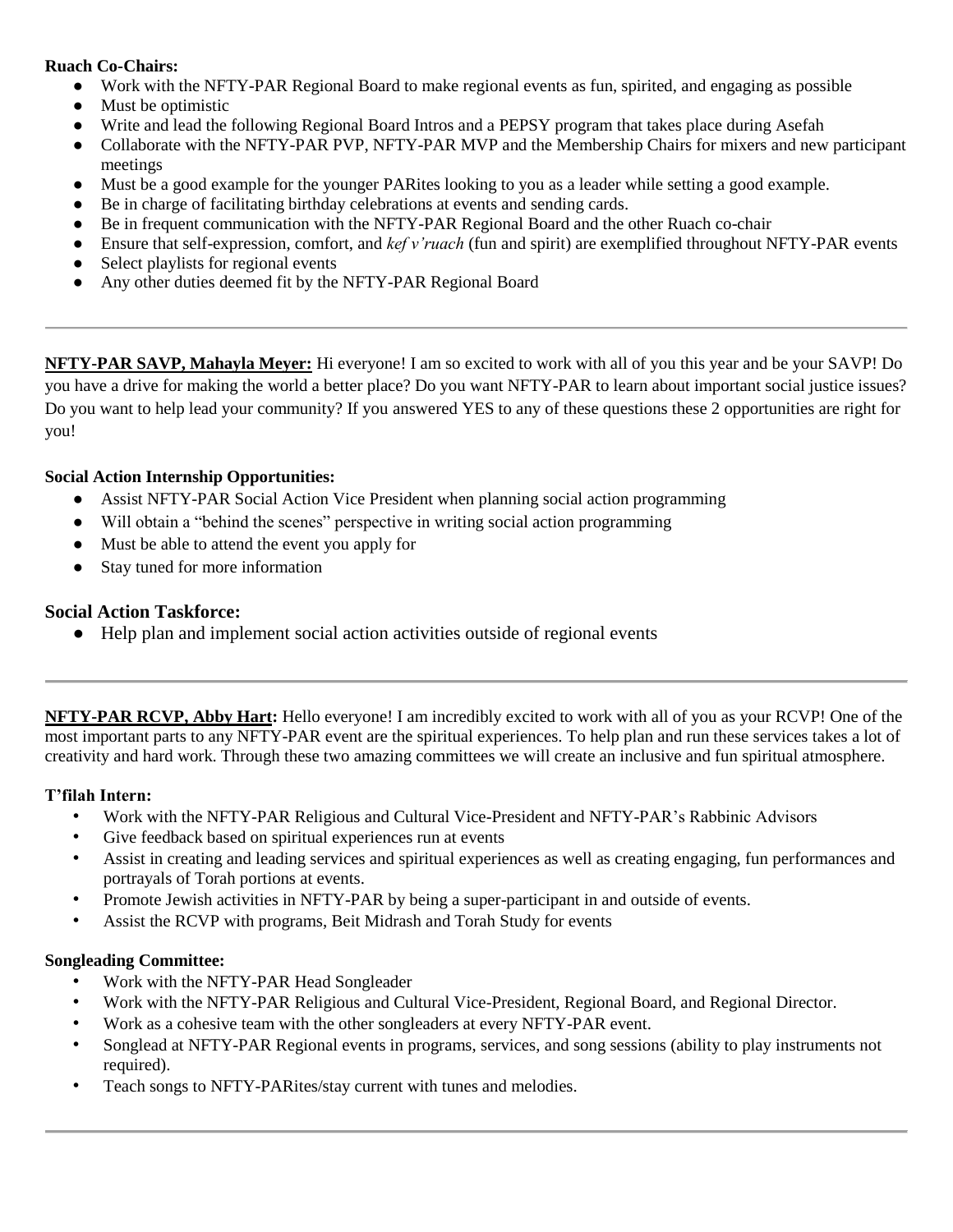#### **Ruach Co-Chairs:**

- Work with the NFTY-PAR Regional Board to make regional events as fun, spirited, and engaging as possible
- Must be optimistic
- Write and lead the following Regional Board Intros and a PEPSY program that takes place during Asefah
- Collaborate with the NFTY-PAR PVP, NFTY-PAR MVP and the Membership Chairs for mixers and new participant meetings
- Must be a good example for the younger PARites looking to you as a leader while setting a good example.
- Be in charge of facilitating birthday celebrations at events and sending cards.
- Be in frequent communication with the NFTY-PAR Regional Board and the other Ruach co-chair
- Ensure that self-expression, comfort, and *kef v'ruach* (fun and spirit) are exemplified throughout NFTY-PAR events
- Select playlists for regional events
- Any other duties deemed fit by the NFTY-PAR Regional Board

**NFTY-PAR SAVP, Mahayla Meyer:** Hi everyone! I am so excited to work with all of you this year and be your SAVP! Do you have a drive for making the world a better place? Do you want NFTY-PAR to learn about important social justice issues? Do you want to help lead your community? If you answered YES to any of these questions these 2 opportunities are right for you!

## **Social Action Internship Opportunities:**

- Assist NFTY-PAR Social Action Vice President when planning social action programming
- Will obtain a "behind the scenes" perspective in writing social action programming
- Must be able to attend the event you apply for
- Stay tuned for more information

# **Social Action Taskforce:**

● Help plan and implement social action activities outside of regional events

**NFTY-PAR RCVP, Abby Hart:** Hello everyone! I am incredibly excited to work with all of you as your RCVP! One of the most important parts to any NFTY-PAR event are the spiritual experiences. To help plan and run these services takes a lot of creativity and hard work. Through these two amazing committees we will create an inclusive and fun spiritual atmosphere.

## **T'filah Intern:**

- Work with the NFTY-PAR Religious and Cultural Vice-President and NFTY-PAR's Rabbinic Advisors
- Give feedback based on spiritual experiences run at events
- Assist in creating and leading services and spiritual experiences as well as creating engaging, fun performances and portrayals of Torah portions at events.
- Promote Jewish activities in NFTY-PAR by being a super-participant in and outside of events.
- Assist the RCVP with programs, Beit Midrash and Torah Study for events

# **Songleading Committee:**

- Work with the NFTY-PAR Head Songleader
- Work with the NFTY-PAR Religious and Cultural Vice-President, Regional Board, and Regional Director.
- Work as a cohesive team with the other songleaders at every NFTY-PAR event.
- Songlead at NFTY-PAR Regional events in programs, services, and song sessions (ability to play instruments not required).
- Teach songs to NFTY-PARites/stay current with tunes and melodies.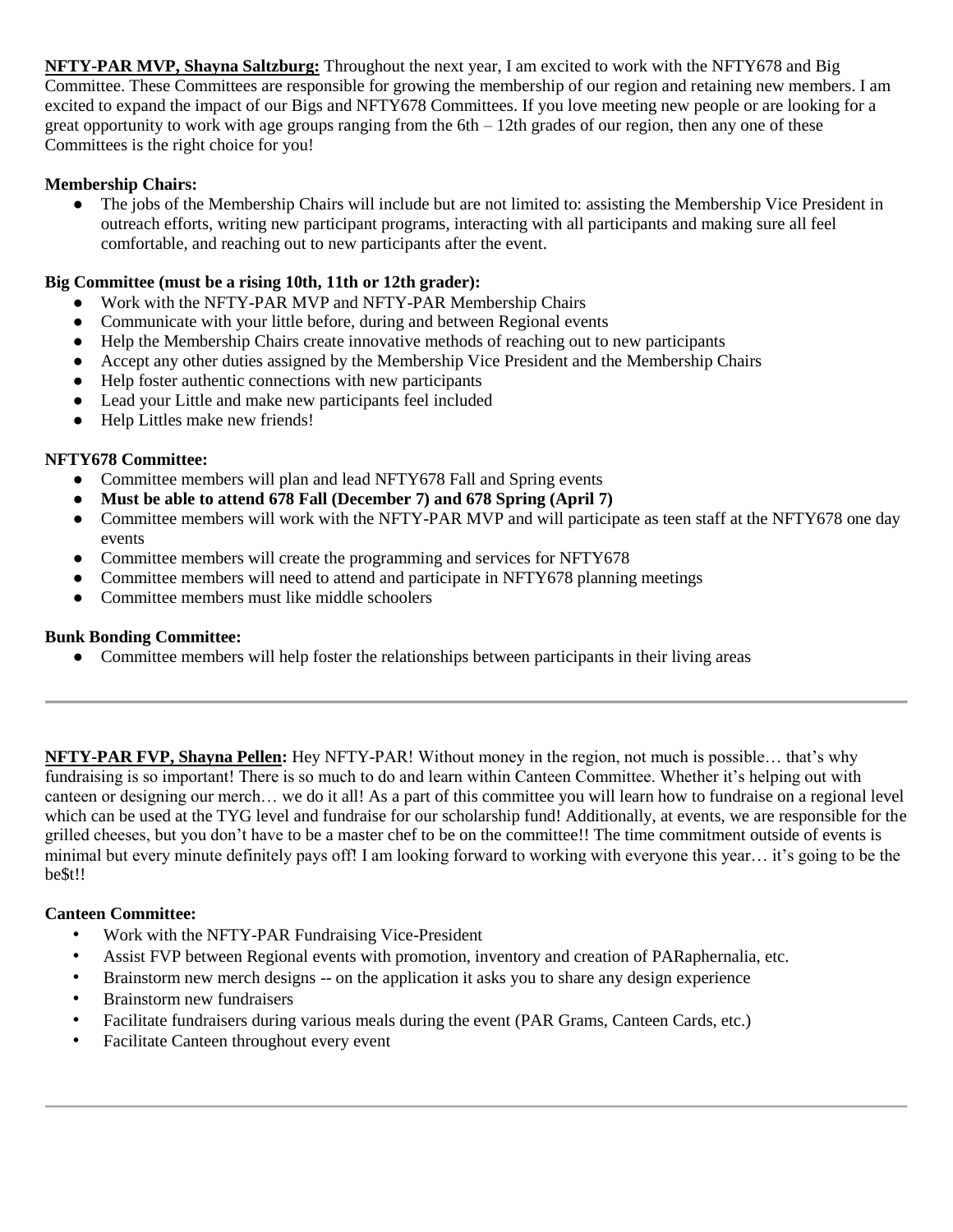**NFTY-PAR MVP, Shayna Saltzburg:** Throughout the next year, I am excited to work with the NFTY678 and Big Committee. These Committees are responsible for growing the membership of our region and retaining new members. I am excited to expand the impact of our Bigs and NFTY678 Committees. If you love meeting new people or are looking for a great opportunity to work with age groups ranging from the  $6th - 12th$  grades of our region, then any one of these Committees is the right choice for you!

# **Membership Chairs:**

• The jobs of the Membership Chairs will include but are not limited to: assisting the Membership Vice President in outreach efforts, writing new participant programs, interacting with all participants and making sure all feel comfortable, and reaching out to new participants after the event.

# **Big Committee (must be a rising 10th, 11th or 12th grader):**

- Work with the NFTY-PAR MVP and NFTY-PAR Membership Chairs
- Communicate with your little before, during and between Regional events
- Help the Membership Chairs create innovative methods of reaching out to new participants
- Accept any other duties assigned by the Membership Vice President and the Membership Chairs
- Help foster authentic connections with new participants
- Lead your Little and make new participants feel included
- Help Littles make new friends!

## **NFTY678 Committee:**

- Committee members will plan and lead NFTY678 Fall and Spring events
- **Must be able to attend 678 Fall (December 7) and 678 Spring (April 7)**
- Committee members will work with the NFTY-PAR MVP and will participate as teen staff at the NFTY678 one day events
- Committee members will create the programming and services for NFTY678
- Committee members will need to attend and participate in NFTY678 planning meetings
- Committee members must like middle schoolers

## **Bunk Bonding Committee:**

• Committee members will help foster the relationships between participants in their living areas

**NFTY-PAR FVP, Shayna Pellen:** Hey NFTY-PAR! Without money in the region, not much is possible... that's why fundraising is so important! There is so much to do and learn within Canteen Committee. Whether it's helping out with canteen or designing our merch… we do it all! As a part of this committee you will learn how to fundraise on a regional level which can be used at the TYG level and fundraise for our scholarship fund! Additionally, at events, we are responsible for the grilled cheeses, but you don't have to be a master chef to be on the committee!! The time commitment outside of events is minimal but every minute definitely pays off! I am looking forward to working with everyone this year… it's going to be the be\$t!!

#### **Canteen Committee:**

- Work with the NFTY-PAR Fundraising Vice-President
- Assist FVP between Regional events with promotion, inventory and creation of PARaphernalia, etc.
- Brainstorm new merch designs -- on the application it asks you to share any design experience
- Brainstorm new fundraisers
- Facilitate fundraisers during various meals during the event (PAR Grams, Canteen Cards, etc.)
- Facilitate Canteen throughout every event